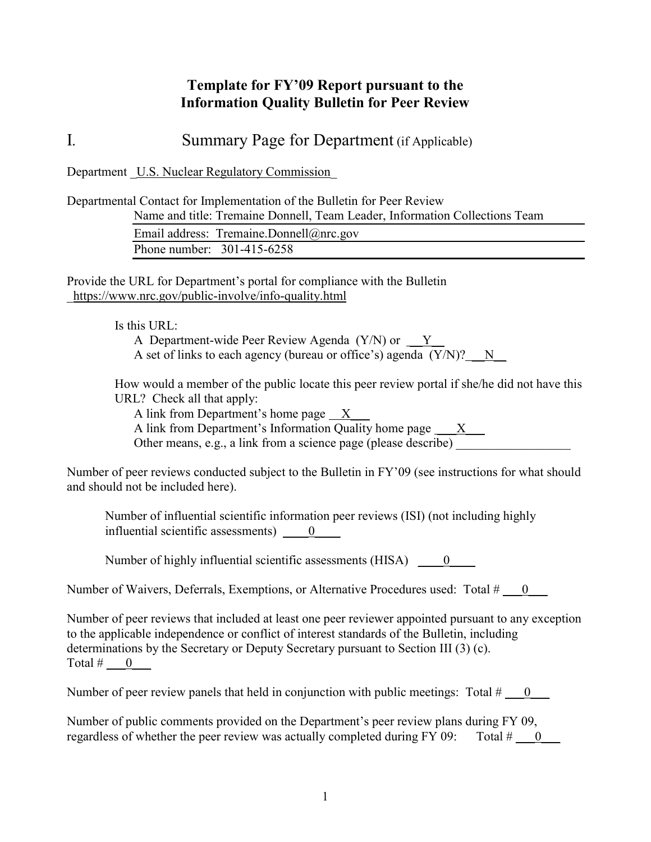## **Template for FY'09 Report pursuant to the Information Quality Bulletin for Peer Review**

I*.* Summary Page for Department (if Applicable)

Department U.S. Nuclear Regulatory Commission

Departmental Contact for Implementation of the Bulletin for Peer Review Name and title: Tremaine Donnell, Team Leader, Information Collections Team

|                              | Email address: Tremaine.Donnell@nrc.gov |  |
|------------------------------|-----------------------------------------|--|
| Phone number: $301-415-6258$ |                                         |  |

Provide the URL for Department's portal for compliance with the Bulletin \_https://www.nrc.gov/public-involve/info-quality.html

Is this URL:

A Department-wide Peer Review Agenda  $(Y/N)$  or  $Y$ A set of links to each agency (bureau or office's) agenda  $(Y/N)?$  N

How would a member of the public locate this peer review portal if she/he did not have this URL? Check all that apply:

A link from Department's home page X\_\_\_

A link from Department's Information Quality home page  $\_\ X$ 

Other means, e.g., a link from a science page (please describe)

Number of peer reviews conducted subject to the Bulletin in FY'09 (see instructions for what should and should not be included here).

Number of influential scientific information peer reviews (ISI) (not including highly influential scientific assessments)  $\qquad 0 \qquad$ 

Number of highly influential scientific assessments  $(HISA)$   $\qquad 0$ 

Number of Waivers, Deferrals, Exemptions, or Alternative Procedures used: Total  $\# \_ 0 \_$ 

Number of peer reviews that included at least one peer reviewer appointed pursuant to any exception to the applicable independence or conflict of interest standards of the Bulletin, including determinations by the Secretary or Deputy Secretary pursuant to Section III (3) (c). Total  $\#$  0

Number of peer review panels that held in conjunction with public meetings: Total  $\#$  0

Number of public comments provided on the Department's peer review plans during FY 09, regardless of whether the peer review was actually completed during FY 09: Total  $\#$  0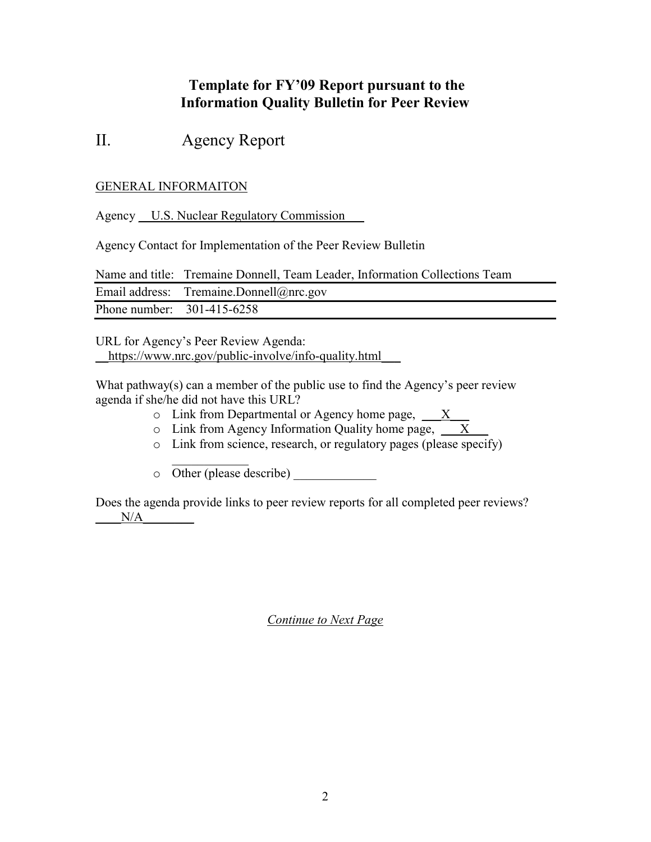## **Template for FY'09 Report pursuant to the Information Quality Bulletin for Peer Review**

# II. Agency Report

### GENERAL INFORMAITON

Agency U.S. Nuclear Regulatory Commission

Agency Contact for Implementation of the Peer Review Bulletin

Name and title: Tremaine Donnell, Team Leader, Information Collections Team Email address: Tremaine.Donnell@nrc.gov Phone number: 301-415-6258

URL for Agency's Peer Review Agenda: https://www.nrc.gov/public-involve/info-quality.html

What pathway(s) can a member of the public use to find the Agency's peer review agenda if she/he did not have this URL?

- $\circ$  Link from Departmental or Agency home page,  $\overline{X}$
- $\circ$  Link from Agency Information Quality home page,  $\overline{X}$
- o Link from science, research, or regulatory pages (please specify)

 $\mathcal{L}_\text{max}$  $\circ$  Other (please describe)

Does the agenda provide links to peer review reports for all completed peer reviews?  $N/A$ 

*Continue to Next Page*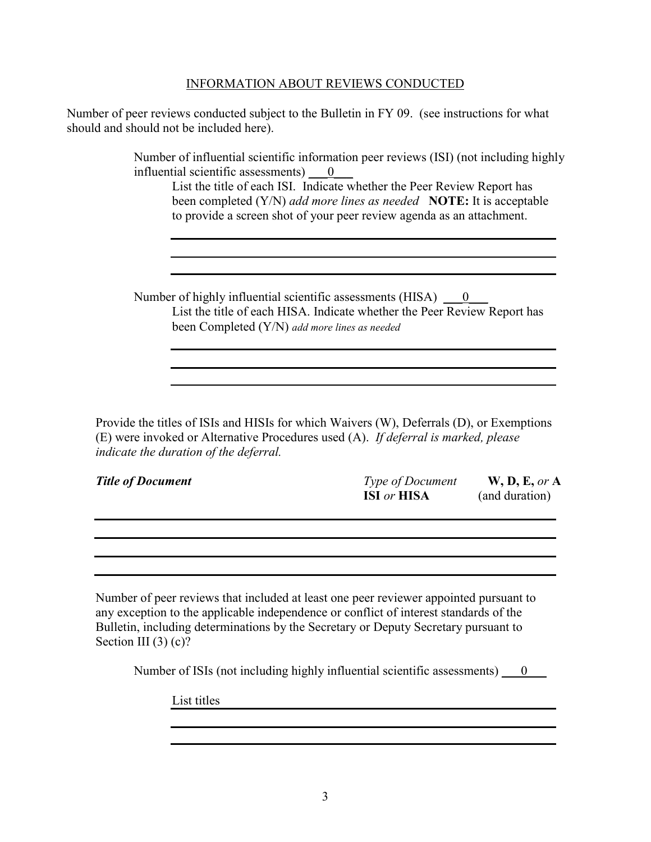#### INFORMATION ABOUT REVIEWS CONDUCTED

Number of peer reviews conducted subject to the Bulletin in FY 09. (see instructions for what should and should not be included here).

> Number of influential scientific information peer reviews (ISI) (not including highly influential scientific assessments)  $\qquad 0$

List the title of each ISI. Indicate whether the Peer Review Report has been completed (Y/N) *add more lines as needed* **NOTE:** It is acceptable to provide a screen shot of your peer review agenda as an attachment.

Number of highly influential scientific assessments (HISA)  $\qquad 0$ List the title of each HISA. Indicate whether the Peer Review Report has been Completed (Y/N) *add more lines as needed*

Provide the titles of ISIs and HISIs for which Waivers (W), Deferrals (D), or Exemptions (E) were invoked or Alternative Procedures used (A). *If deferral is marked, please indicate the duration of the deferral.*

| <b>Title of Document</b> | <b>Type of Document</b>   | W, D, E, or A  |
|--------------------------|---------------------------|----------------|
|                          | <b>ISI</b> or <b>HISA</b> | (and duration) |

Number of peer reviews that included at least one peer reviewer appointed pursuant to any exception to the applicable independence or conflict of interest standards of the Bulletin, including determinations by the Secretary or Deputy Secretary pursuant to Section III  $(3)$  (c)?

Number of ISIs (not including highly influential scientific assessments)  $\qquad 0 \qquad$ 

List titles